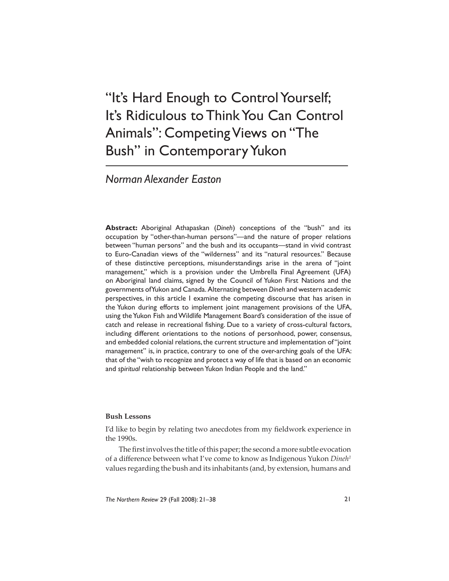# "It's Hard Enough to Control Yourself; It's Ridiculous to Think You Can Control Animals": Competing Views on "The Bush" in Contemporary Yukon

## *Norman Alexander Easton*

**Abstract:** Aboriginal Athapaskan (*Dineh*) conceptions of the "bush" and its occupation by "other-than-human persons"—and the nature of proper relations between "human persons" and the bush and its occupants—stand in vivid contrast to Euro-Canadian views of the "wilderness" and its "natural resources." Because of these distinctive perceptions, misunderstandings arise in the arena of "joint management," which is a provision under the Umbrella Final Agreement (UFA) on Aboriginal land claims, signed by the Council of Yukon First Nations and the governments of Yukon and Canada. Alternating between *Dineh* and western academic perspectives, in this article I examine the competing discourse that has arisen in the Yukon during efforts to implement joint management provisions of the UFA, using the Yukon Fish and Wildlife Management Board's consideration of the issue of catch and release in recreational fishing. Due to a variety of cross-cultural factors, including different orientations to the notions of personhood, power, consensus, and embedded colonial relations, the current structure and implementation of "joint management" is, in practice, contrary to one of the over-arching goals of the UFA: that of the "wish to recognize and protect a way of life that is based on an economic and *spiritual* relationship between Yukon Indian People and the land."

#### **Bush Lessons**

I'd like to begin by relating two anecdotes from my fieldwork experience in the 1990s.

The first involves the title of this paper; the second a more subtle evocation of a difference between what I've come to know as Indigenous Yukon *Dineh<sup>1</sup>* values regarding the bush and its inhabitants (and, by extension, humans and

*The Northern Review* 29 (Fall 2008): 21–38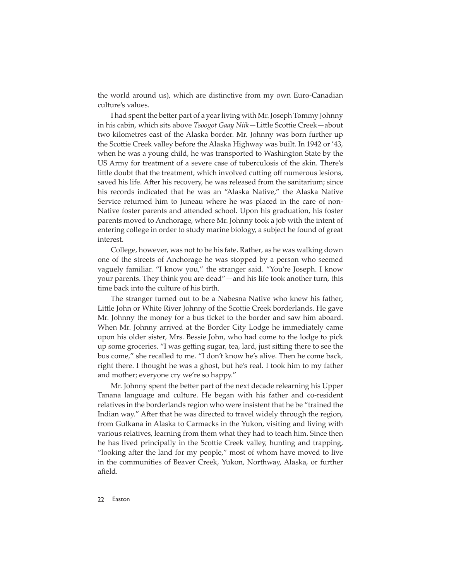the world around us), which are distinctive from my own Euro-Canadian culture's values.

I had spent the better part of a year living with Mr. Joseph Tommy Johnny in his cabin, which sits above *Tsoogot Gaay Niik*—Little Scottie Creek—about two kilometres east of the Alaska border. Mr. Johnny was born further up the Scottie Creek valley before the Alaska Highway was built. In 1942 or '43, when he was a young child, he was transported to Washington State by the US Army for treatment of a severe case of tuberculosis of the skin. There's little doubt that the treatment, which involved cutting off numerous lesions, saved his life. After his recovery, he was released from the sanitarium; since his records indicated that he was an "Alaska Native," the Alaska Native Service returned him to Juneau where he was placed in the care of non-Native foster parents and attended school. Upon his graduation, his foster parents moved to Anchorage, where Mr. Johnny took a job with the intent of entering college in order to study marine biology, a subject he found of great interest.

College, however, was not to be his fate. Rather, as he was walking down one of the streets of Anchorage he was stopped by a person who seemed vaguely familiar. "I know you," the stranger said. "You're Joseph. I know your parents. They think you are dead"—and his life took another turn, this time back into the culture of his birth.

The stranger turned out to be a Nabesna Native who knew his father, Little John or White River Johnny of the Scottie Creek borderlands. He gave Mr. Johnny the money for a bus ticket to the border and saw him aboard. When Mr. Johnny arrived at the Border City Lodge he immediately came upon his older sister, Mrs. Bessie John, who had come to the lodge to pick up some groceries. "I was getting sugar, tea, lard, just sitting there to see the bus come," she recalled to me. "I don't know he's alive. Then he come back, right there. I thought he was a ghost, but he's real. I took him to my father and mother; everyone cry we're so happy."

Mr. Johnny spent the better part of the next decade relearning his Upper Tanana language and culture. He began with his father and co-resident relatives in the borderlands region who were insistent that he be "trained the Indian way." After that he was directed to travel widely through the region, from Gulkana in Alaska to Carmacks in the Yukon, visiting and living with various relatives, learning from them what they had to teach him. Since then he has lived principally in the Scottie Creek valley, hunting and trapping, "looking after the land for my people," most of whom have moved to live in the communities of Beaver Creek, Yukon, Northway, Alaska, or further afield.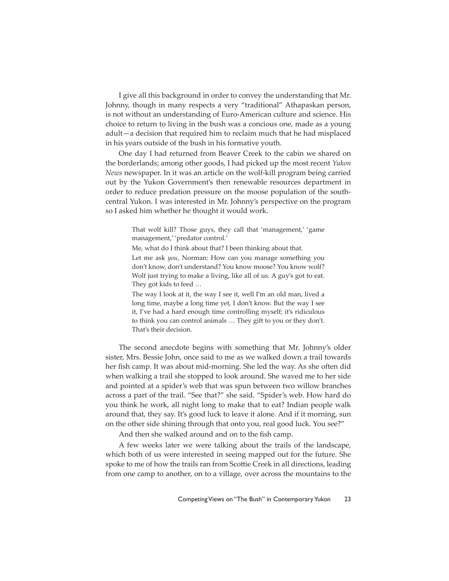I give all this background in order to convey the understanding that Mr. Johnny, though in many respects a very "traditional" Athapaskan person, is not without an understanding of Euro-American culture and science. His choice to return to living in the bush was a concious one, made as a young adult—a decision that required him to reclaim much that he had misplaced in his years outside of the bush in his formative youth.

One day I had returned from Beaver Creek to the cabin we shared on the borderlands; among other goods, I had picked up the most recent *Yukon News* newspaper. In it was an article on the wolf-kill program being carried out by the Yukon Government's then renewable resources department in order to reduce predation pressure on the moose population of the southcentral Yukon. I was interested in Mr. Johnny's perspective on the program so I asked him whether he thought it would work.

> That wolf kill? Those guys, they call that 'management,' 'game management,' 'predator control.'

Me, what do I think about that? I been thinking about that.

Let me ask *you*, Norman: How can you manage something you don't know, don't understand? You know moose? You know wolf? Wolf just trying to make a living, like all of us. A guy's got to eat. They got kids to feed …

The way I look at it, the way I see it, well I'm an old man, lived a long time, maybe a long time yet, I don't know. But the way I see it, I've had a hard enough time controlling myself; it's ridiculous to think you can control animals … They gift to you or they don't. That's their decision.

The second anecdote begins with something that Mr. Johnny's older sister, Mrs. Bessie John, once said to me as we walked down a trail towards her fish camp. It was about mid-morning. She led the way. As she often did when walking a trail she stopped to look around. She waved me to her side and pointed at a spider's web that was spun between two willow branches across a part of the trail. "See that?" she said. "Spider's web. How hard do you think he work, all night long to make that to eat? Indian people walk around that, they say. It's good luck to leave it alone. And if it morning, sun on the other side shining through that onto you, real good luck. You see?"

And then she walked around and on to the fish camp.

A few weeks later we were talking about the trails of the landscape, which both of us were interested in seeing mapped out for the future. She spoke to me of how the trails ran from Scottie Creek in all directions, leading from one camp to another, on to a village, over across the mountains to the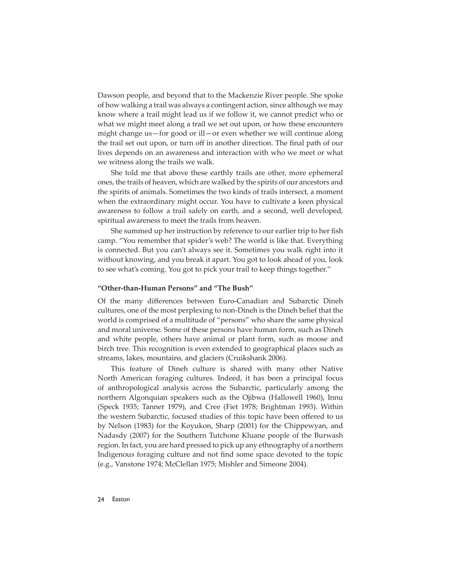Dawson people, and beyond that to the Mackenzie River people. She spoke of how walking a trail was always a contingent action, since although we may know where a trail might lead us if we follow it, we cannot predict who or what we might meet along a trail we set out upon, or how these encounters might change us—for good or ill—or even whether we will continue along the trail set out upon, or turn off in another direction. The final path of our lives depends on an awareness and interaction with who we meet or what we witness along the trails we walk.

She told me that above these earthly trails are other, more ephemeral ones, the trails of heaven, which are walked by the spirits of our ancestors and the spirits of animals. Sometimes the two kinds of trails intersect, a moment when the extraordinary might occur. You have to cultivate a keen physical awareness to follow a trail safely on earth, and a second, well developed, spiritual awareness to meet the trails from heaven.

She summed up her instruction by reference to our earlier trip to her fish camp. "You remember that spider's web? The world is like that. Everything is connected. But you can't always see it. Sometimes you walk right into it without knowing, and you break it apart. You got to look ahead of you, look to see what's coming. You got to pick your trail to keep things together."

#### **"Other-than-Human Persons" and "The Bush"**

Of the many differences between Euro-Canadian and Subarctic Dineh cultures, one of the most perplexing to non-Dineh is the Dineh belief that the world is comprised of a multitude of "persons" who share the same physical and moral universe. Some of these persons have human form, such as Dineh and white people, others have animal or plant form, such as moose and birch tree. This recognition is even extended to geographical places such as streams, lakes, mountains, and glaciers (Cruikshank 2006).

This feature of Dineh culture is shared with many other Native North American foraging cultures. Indeed, it has been a principal focus of anthropological analysis across the Subarctic, particularly among the northern Algonquian speakers such as the Ojibwa (Hallowell 1960), Innu (Speck 1935; Tanner 1979), and Cree (Fiet 1978; Brightman 1993). Within the western Subarctic, focused studies of this topic have been offered to us by Nelson (1983) for the Koyukon, Sharp (2001) for the Chippewyan, and Nadasdy (2007) for the Southern Tutchone Kluane people of the Burwash region. In fact, you are hard pressed to pick up any ethnography of a northern Indigenous foraging culture and not find some space devoted to the topic (e.g., Vanstone 1974; McClellan 1975; Mishler and Simeone 2004).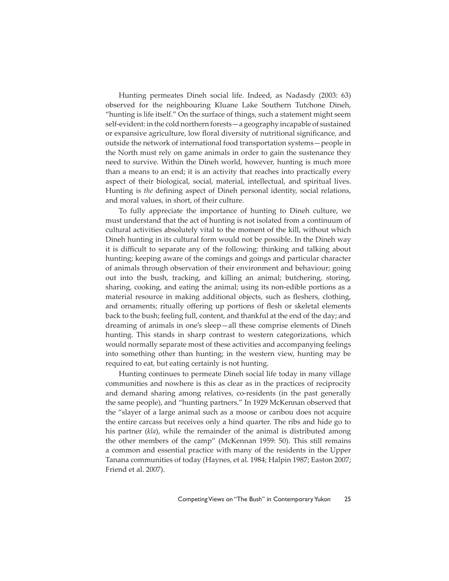Hunting permeates Dineh social life. Indeed, as Nadasdy (2003: 63) observed for the neighbouring Kluane Lake Southern Tutchone Dineh, "hunting is life itself." On the surface of things, such a statement might seem self-evident: in the cold northern forests—a geography incapable of sustained or expansive agriculture, low floral diversity of nutritional significance, and outside the network of international food transportation systems—people in the North must rely on game animals in order to gain the sustenance they need to survive. Within the Dineh world, however, hunting is much more than a means to an end; it is an activity that reaches into practically every aspect of their biological, social, material, intellectual, and spiritual lives. Hunting is *the* defining aspect of Dineh personal identity, social relations, and moral values, in short, of their culture.

To fully appreciate the importance of hunting to Dineh culture, we must understand that the act of hunting is not isolated from a continuum of cultural activities absolutely vital to the moment of the kill, without which Dineh hunting in its cultural form would not be possible. In the Dineh way it is difficult to separate any of the following: thinking and talking about hunting; keeping aware of the comings and goings and particular character of animals through observation of their environment and behaviour; going out into the bush, tracking, and killing an animal; butchering, storing, sharing, cooking, and eating the animal; using its non-edible portions as a material resource in making additional objects, such as fleshers, clothing, and ornaments; ritually offering up portions of flesh or skeletal elements back to the bush; feeling full, content, and thankful at the end of the day; and dreaming of animals in one's sleep—all these comprise elements of Dineh hunting. This stands in sharp contrast to western categorizations, which would normally separate most of these activities and accompanying feelings into something other than hunting; in the western view, hunting may be required to eat, but eating certainly is not hunting.

Hunting continues to permeate Dineh social life today in many village communities and nowhere is this as clear as in the practices of reciprocity and demand sharing among relatives, co-residents (in the past generally the same people), and "hunting partners." In 1929 McKennan observed that the "slayer of a large animal such as a moose or caribou does not acquire the entire carcass but receives only a hind quarter. The ribs and hide go to his partner (*kla*), while the remainder of the animal is distributed among the other members of the camp" (McKennan 1959: 50). This still remains a common and essential practice with many of the residents in the Upper Tanana communities of today (Haynes, et al. 1984; Halpin 1987; Easton 2007; Friend et al. 2007).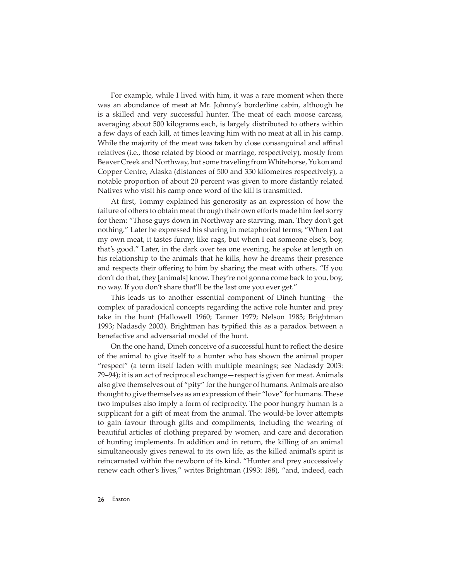For example, while I lived with him, it was a rare moment when there was an abundance of meat at Mr. Johnny's borderline cabin, although he is a skilled and very successful hunter. The meat of each moose carcass, averaging about 500 kilograms each, is largely distributed to others within a few days of each kill, at times leaving him with no meat at all in his camp. While the majority of the meat was taken by close consanguinal and affinal relatives (i.e., those related by blood or marriage, respectively), mostly from Beaver Creek and Northway, but some traveling from Whitehorse, Yukon and Copper Centre, Alaska (distances of 500 and 350 kilometres respectively), a notable proportion of about 20 percent was given to more distantly related Natives who visit his camp once word of the kill is transmitted.

At first, Tommy explained his generosity as an expression of how the failure of others to obtain meat through their own efforts made him feel sorry for them: "Those guys down in Northway are starving, man. They don't get nothing." Later he expressed his sharing in metaphorical terms; "When I eat my own meat, it tastes funny, like rags, but when I eat someone else's, boy, that's good." Later, in the dark over tea one evening, he spoke at length on his relationship to the animals that he kills, how he dreams their presence and respects their offering to him by sharing the meat with others. "If you don't do that, they [animals] know. They're not gonna come back to you, boy, no way. If you don't share that'll be the last one you ever get."

This leads us to another essential component of Dineh hunting—the complex of paradoxical concepts regarding the active role hunter and prey take in the hunt (Hallowell 1960; Tanner 1979; Nelson 1983; Brightman 1993; Nadasdy 2003). Brightman has typified this as a paradox between a benefactive and adversarial model of the hunt.

On the one hand, Dineh conceive of a successful hunt to reflect the desire of the animal to give itself to a hunter who has shown the animal proper "respect" (a term itself laden with multiple meanings; see Nadasdy 2003: 79–94); it is an act of reciprocal exchange—respect is given for meat. Animals also give themselves out of "pity" for the hunger of humans. Animals are also thought to give themselves as an expression of their "love" for humans. These two impulses also imply a form of reciprocity. The poor hungry human is a supplicant for a gift of meat from the animal. The would-be lover attempts to gain favour through gifts and compliments, including the wearing of beautiful articles of clothing prepared by women, and care and decoration of hunting implements. In addition and in return, the killing of an animal simultaneously gives renewal to its own life, as the killed animal's spirit is reincarnated within the newborn of its kind. "Hunter and prey successively renew each other's lives," writes Brightman (1993: 188), "and, indeed, each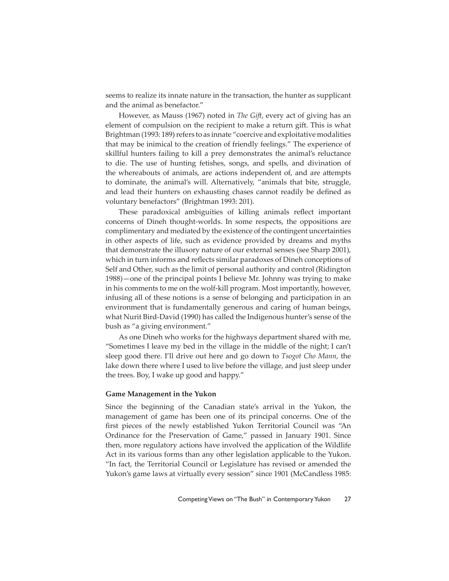seems to realize its innate nature in the transaction, the hunter as supplicant and the animal as benefactor."

However, as Mauss (1967) noted in *The Gift*, every act of giving has an element of compulsion on the recipient to make a return gift. This is what Brightman (1993: 189) refers to as innate "coercive and exploitative modalities that may be inimical to the creation of friendly feelings." The experience of skillful hunters failing to kill a prey demonstrates the animal's reluctance to die. The use of hunting fetishes, songs, and spells, and divination of the whereabouts of animals, are actions independent of, and are attempts to dominate, the animal's will. Alternatively, "animals that bite, struggle, and lead their hunters on exhausting chases cannot readily be defined as voluntary benefactors" (Brightman 1993: 201).

These paradoxical ambiguities of killing animals reflect important concerns of Dineh thought-worlds. In some respects, the oppositions are complimentary and mediated by the existence of the contingent uncertainties in other aspects of life, such as evidence provided by dreams and myths that demonstrate the illusory nature of our external senses (see Sharp 2001), which in turn informs and reflects similar paradoxes of Dineh conceptions of Self and Other, such as the limit of personal authority and control (Ridington 1988)—one of the principal points I believe Mr. Johnny was trying to make in his comments to me on the wolf-kill program. Most importantly, however, infusing all of these notions is a sense of belonging and participation in an environment that is fundamentally generous and caring of human beings, what Nurit Bird-David (1990) has called the Indigenous hunter's sense of the bush as "a giving environment."

As one Dineh who works for the highways department shared with me, "Sometimes I leave my bed in the village in the middle of the night; I can't sleep good there. I'll drive out here and go down to *Tsogot Cho Mann*, the lake down there where I used to live before the village, and just sleep under the trees. Boy, I wake up good and happy."

#### **Game Management in the Yukon**

Since the beginning of the Canadian state's arrival in the Yukon, the management of game has been one of its principal concerns. One of the first pieces of the newly established Yukon Territorial Council was "An Ordinance for the Preservation of Game," passed in January 1901. Since then, more regulatory actions have involved the application of the Wildlife Act in its various forms than any other legislation applicable to the Yukon. "In fact, the Territorial Council or Legislature has revised or amended the Yukon's game laws at virtually every session" since 1901 (McCandless 1985: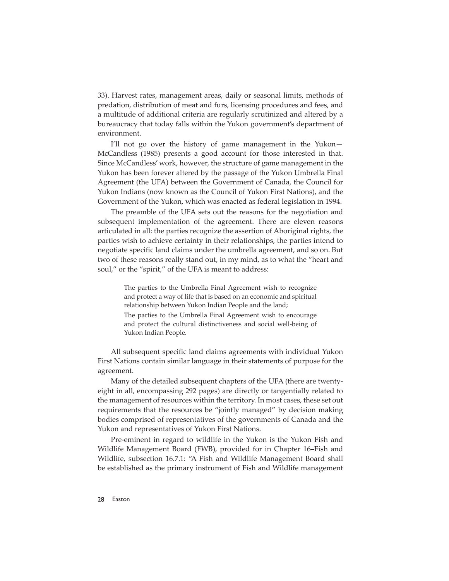33). Harvest rates, management areas, daily or seasonal limits, methods of predation, distribution of meat and furs, licensing procedures and fees, and a multitude of additional criteria are regularly scrutinized and altered by a bureaucracy that today falls within the Yukon government's department of environment.

I'll not go over the history of game management in the Yukon— McCandless (1985) presents a good account for those interested in that. Since McCandless' work, however, the structure of game management in the Yukon has been forever altered by the passage of the Yukon Umbrella Final Agreement (the UFA) between the Government of Canada, the Council for Yukon Indians (now known as the Council of Yukon First Nations), and the Government of the Yukon, which was enacted as federal legislation in 1994.

The preamble of the UFA sets out the reasons for the negotiation and subsequent implementation of the agreement. There are eleven reasons articulated in all: the parties recognize the assertion of Aboriginal rights, the parties wish to achieve certainty in their relationships, the parties intend to negotiate specific land claims under the umbrella agreement, and so on. But two of these reasons really stand out, in my mind, as to what the "heart and soul," or the "spirit," of the UFA is meant to address:

> The parties to the Umbrella Final Agreement wish to recognize and protect a way of life that is based on an economic and spiritual relationship between Yukon Indian People and the land; The parties to the Umbrella Final Agreement wish to encourage and protect the cultural distinctiveness and social well-being of Yukon Indian People.

All subsequent specific land claims agreements with individual Yukon First Nations contain similar language in their statements of purpose for the agreement.

Many of the detailed subsequent chapters of the UFA (there are twentyeight in all, encompassing 292 pages) are directly or tangentially related to the management of resources within the territory. In most cases, these set out requirements that the resources be "jointly managed" by decision making bodies comprised of representatives of the governments of Canada and the Yukon and representatives of Yukon First Nations.

Pre-eminent in regard to wildlife in the Yukon is the Yukon Fish and Wildlife Management Board (FWB), provided for in Chapter 16–Fish and Wildlife, subsection 16.7.1: "A Fish and Wildlife Management Board shall be established as the primary instrument of Fish and Wildlife management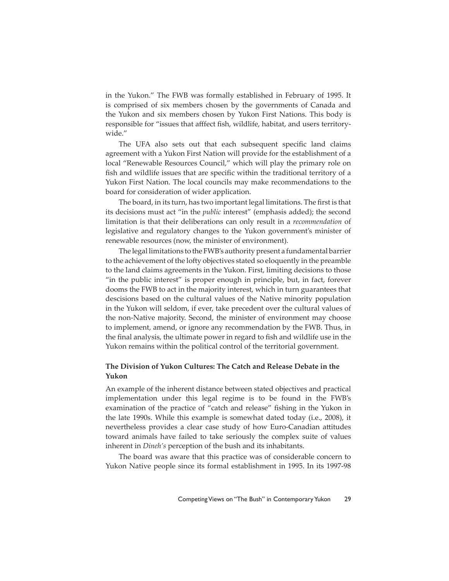in the Yukon." The FWB was formally established in February of 1995. It is comprised of six members chosen by the governments of Canada and the Yukon and six members chosen by Yukon First Nations. This body is responsible for "issues that afffect fish, wildlife, habitat, and users territorywide."

The UFA also sets out that each subsequent specific land claims agreement with a Yukon First Nation will provide for the establishment of a local "Renewable Resources Council," which will play the primary role on fish and wildlife issues that are specific within the traditional territory of a Yukon First Nation. The local councils may make recommendations to the board for consideration of wider application.

The board, in its turn, has two important legal limitations. The first is that its decisions must act "in the *public* interest" (emphasis added); the second limitation is that their deliberations can only result in a *recommendation* of legislative and regulatory changes to the Yukon government's minister of renewable resources (now, the minister of environment).

The legal limitations to the FWB's authority present a fundamental barrier to the achievement of the lofty objectives stated so eloquently in the preamble to the land claims agreements in the Yukon. First, limiting decisions to those "in the public interest" is proper enough in principle, but, in fact, forever dooms the FWB to act in the majority interest, which in turn guarantees that descisions based on the cultural values of the Native minority population in the Yukon will seldom, if ever, take precedent over the cultural values of the non-Native majority. Second, the minister of environment may choose to implement, amend, or ignore any recommendation by the FWB. Thus, in the final analysis, the ultimate power in regard to fish and wildlife use in the Yukon remains within the political control of the territorial government.

### **The Division of Yukon Cultures: The Catch and Release Debate in the Yukon**

An example of the inherent distance between stated objectives and practical implementation under this legal regime is to be found in the FWB's examination of the practice of "catch and release" fishing in the Yukon in the late 1990s. While this example is somewhat dated today (i.e., 2008), it nevertheless provides a clear case study of how Euro-Canadian attitudes toward animals have failed to take seriously the complex suite of values inherent in *Dineh's* perception of the bush and its inhabitants.

The board was aware that this practice was of considerable concern to Yukon Native people since its formal establishment in 1995. In its 1997-98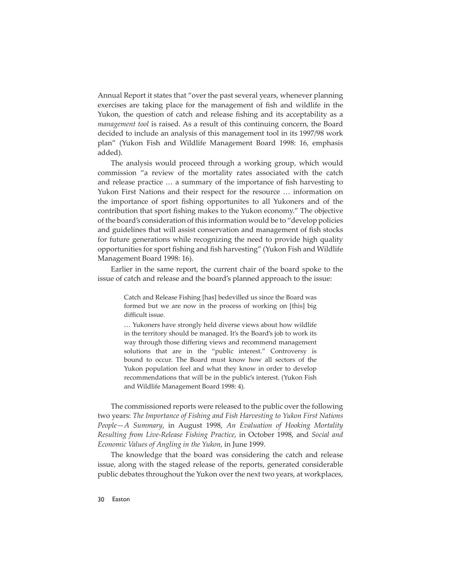Annual Report it states that "over the past several years, whenever planning exercises are taking place for the management of fish and wildlife in the Yukon, the question of catch and release fishing and its acceptability as a *management tool* is raised. As a result of this continuing concern, the Board decided to include an analysis of this management tool in its 1997/98 work plan" (Yukon Fish and Wildlife Management Board 1998: 16, emphasis added).

The analysis would proceed through a working group, which would commission "a review of the mortality rates associated with the catch and release practice ... a summary of the importance of fish harvesting to Yukon First Nations and their respect for the resource … information on the importance of sport fishing opportunites to all Yukoners and of the contribution that sport fishing makes to the Yukon economy." The objective of the board's consideration of this information would be to "develop policies and guidelines that will assist conservation and management of fish stocks for future generations while recognizing the need to provide high quality opportunities for sport fishing and fish harvesting" (Yukon Fish and Wildlife Management Board 1998: 16).

Earlier in the same report, the current chair of the board spoke to the issue of catch and release and the board's planned approach to the issue:

> Catch and Release Fishing [has] bedevilled us since the Board was formed but we are now in the process of working on [this] big difficult issue.

> … Yukoners have strongly held diverse views about how wildlife in the territory should be managed. It's the Board's job to work its way through those differing views and recommend management solutions that are in the "public interest." Controversy is bound to occur. The Board must know how all sectors of the Yukon population feel and what they know in order to develop recommendations that will be in the public's interest. (Yukon Fish and Wildlife Management Board 1998: 4).

The commissioned reports were released to the public over the following two years: *The Importance of Fishing and Fish Harvesting to Yukon First Nations People—A Summary*, in August 1998, *An Evaluation of Hooking Mortality Resulting from Live-Release Fishing Practice*, in October 1998, and *Social and Economic Values of Angling in the Yukon*, in June 1999.

The knowledge that the board was considering the catch and release issue, along with the staged release of the reports, generated considerable public debates throughout the Yukon over the next two years, at workplaces,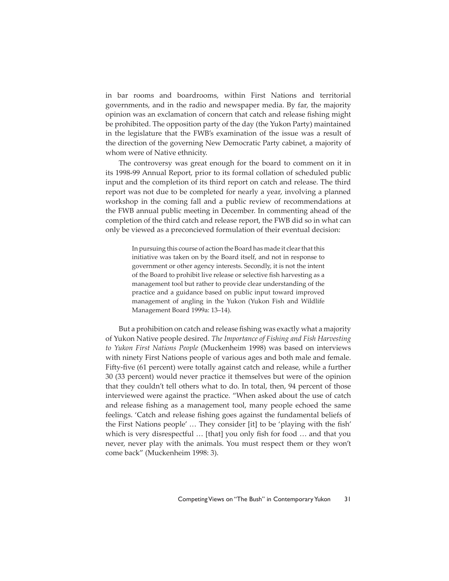in bar rooms and boardrooms, within First Nations and territorial governments, and in the radio and newspaper media. By far, the majority opinion was an exclamation of concern that catch and release fishing might be prohibited. The opposition party of the day (the Yukon Party) maintained in the legislature that the FWB's examination of the issue was a result of the direction of the governing New Democratic Party cabinet, a majority of whom were of Native ethnicity.

The controversy was great enough for the board to comment on it in its 1998-99 Annual Report, prior to its formal collation of scheduled public input and the completion of its third report on catch and release. The third report was not due to be completed for nearly a year, involving a planned workshop in the coming fall and a public review of recommendations at the FWB annual public meeting in December. In commenting ahead of the completion of the third catch and release report, the FWB did so in what can only be viewed as a preconcieved formulation of their eventual decision:

> In pursuing this course of action the Board has made it clear that this initiative was taken on by the Board itself, and not in response to government or other agency interests. Secondly, it is not the intent of the Board to prohibit live release or selective fish harvesting as a management tool but rather to provide clear understanding of the practice and a guidance based on public input toward improved management of angling in the Yukon (Yukon Fish and Wildlife Management Board 1999a: 13–14).

But a prohibition on catch and release fishing was exactly what a majority of Yukon Native people desired. *The Importance of Fishing and Fish Harvesting to Yukon First Nations People* (Muckenheim 1998) was based on interviews with ninety First Nations people of various ages and both male and female. Fifty-five (61 percent) were totally against catch and release, while a further 30 (33 percent) would never practice it themselves but were of the opinion that they couldn't tell others what to do. In total, then, 94 percent of those interviewed were against the practice. "When asked about the use of catch and release fishing as a management tool, many people echoed the same feelings. 'Catch and release fishing goes against the fundamental beliefs of the First Nations people' ... They consider [it] to be 'playing with the fish' which is very disrespectful  $\ldots$  [that] you only fish for food  $\ldots$  and that you never, never play with the animals. You must respect them or they won't come back" (Muckenheim 1998: 3).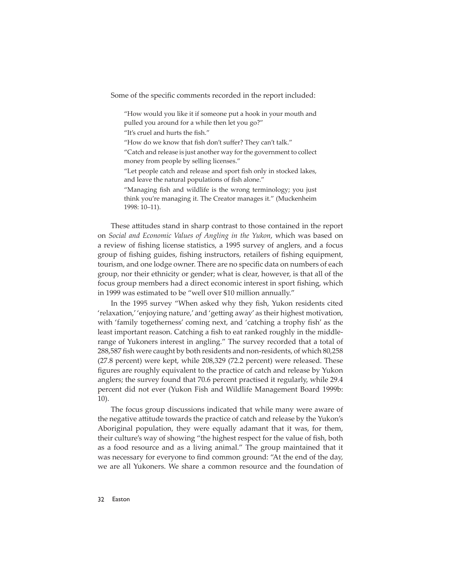Some of the specific comments recorded in the report included:

"How would you like it if someone put a hook in your mouth and pulled you around for a while then let you go?"

"It's cruel and hurts the fish."

"How do we know that fish don't suffer? They can't talk."

"Catch and release is just another way for the government to collect money from people by selling licenses."

"Let people catch and release and sport fish only in stocked lakes, and leave the natural populations of fish alone."

"Managing fish and wildlife is the wrong terminology; you just think you're managing it. The Creator manages it." (Muckenheim 1998: 10–11).

These attitudes stand in sharp contrast to those contained in the report on *Social and Economic Values of Angling in the Yukon*, which was based on a review of fishing license statistics, a 1995 survey of anglers, and a focus group of fishing guides, fishing instructors, retailers of fishing equipment, tourism, and one lodge owner. There are no specific data on numbers of each group, nor their ethnicity or gender; what is clear, however, is that all of the focus group members had a direct economic interest in sport fishing, which in 1999 was estimated to be "well over \$10 million annually."

In the 1995 survey "When asked why they fish, Yukon residents cited 'relaxation,' 'enjoying nature,' and 'getting away' as their highest motivation, with 'family togetherness' coming next, and 'catching a trophy fish' as the least important reason. Catching a fish to eat ranked roughly in the middlerange of Yukoners interest in angling." The survey recorded that a total of 288,587 fish were caught by both residents and non-residents, of which 80,258 (27.8 percent) were kept, while 208,329 (72.2 percent) were released. These figures are roughly equivalent to the practice of catch and release by Yukon anglers; the survey found that 70.6 percent practised it regularly, while 29.4 percent did not ever (Yukon Fish and Wildlife Management Board 1999b: 10).

The focus group discussions indicated that while many were aware of the negative attitude towards the practice of catch and release by the Yukon's Aboriginal population, they were equally adamant that it was, for them, their culture's way of showing "the highest respect for the value of fish, both as a food resource and as a living animal." The group maintained that it was necessary for everyone to find common ground: "At the end of the day, we are all Yukoners. We share a common resource and the foundation of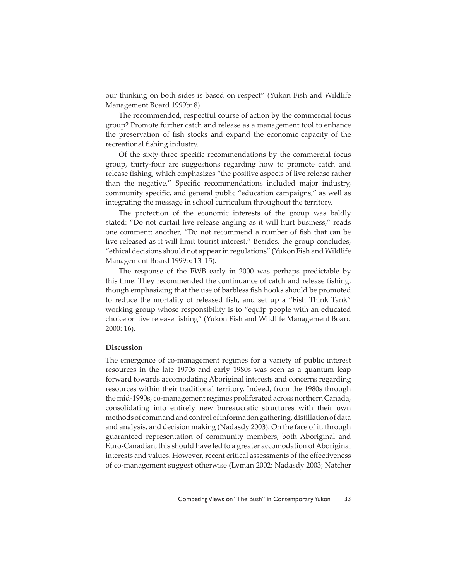our thinking on both sides is based on respect" (Yukon Fish and Wildlife Management Board 1999b: 8).

The recommended, respectful course of action by the commercial focus group? Promote further catch and release as a management tool to enhance the preservation of fish stocks and expand the economic capacity of the recreational fishing industry.

Of the sixty-three specific recommendations by the commercial focus group, thirty-four are suggestions regarding how to promote catch and release fishing, which emphasizes "the positive aspects of live release rather than the negative." Specific recommendations included major industry, community specific, and general public "education campaigns," as well as integrating the message in school curriculum throughout the territory.

The protection of the economic interests of the group was baldly stated: "Do not curtail live release angling as it will hurt business," reads one comment; another, "Do not recommend a number of fish that can be live released as it will limit tourist interest." Besides, the group concludes, "ethical decisions should not appear in regulations" (Yukon Fish and Wildlife Management Board 1999b: 13–15).

The response of the FWB early in 2000 was perhaps predictable by this time. They recommended the continuance of catch and release fishing, though emphasizing that the use of barbless fish hooks should be promoted to reduce the mortality of released fish, and set up a "Fish Think Tank" working group whose responsibility is to "equip people with an educated choice on live release fishing" (Yukon Fish and Wildlife Management Board 2000: 16).

#### **Discussion**

The emergence of co-management regimes for a variety of public interest resources in the late 1970s and early 1980s was seen as a quantum leap forward towards accomodating Aboriginal interests and concerns regarding resources within their traditional territory. Indeed, from the 1980s through the mid-1990s, co-management regimes proliferated across northern Canada, consolidating into entirely new bureaucratic structures with their own methods of command and control of information gathering, distillation of data and analysis, and decision making (Nadasdy 2003). On the face of it, through guaranteed representation of community members, both Aboriginal and Euro-Canadian, this should have led to a greater accomodation of Aboriginal interests and values. However, recent critical assessments of the effectiveness of co-management suggest otherwise (Lyman 2002; Nadasdy 2003; Natcher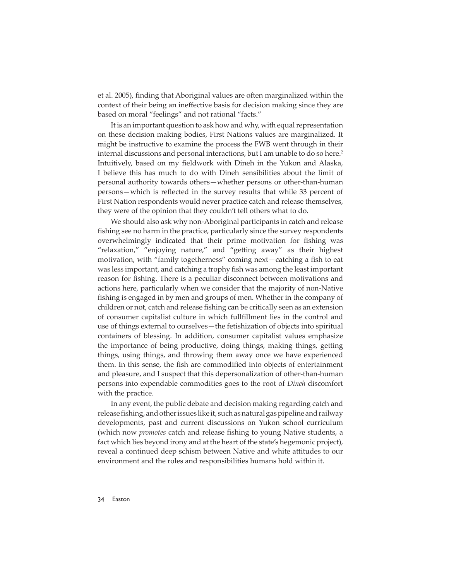et al. 2005), finding that Aboriginal values are often marginalized within the context of their being an ineffective basis for decision making since they are based on moral "feelings" and not rational "facts."

It is an important question to ask how and why, with equal representation on these decision making bodies, First Nations values are marginalized. It might be instructive to examine the process the FWB went through in their internal discussions and personal interactions, but I am unable to do so here.<sup>2</sup> Intuitively, based on my fieldwork with Dineh in the Yukon and Alaska, I believe this has much to do with Dineh sensibilities about the limit of personal authority towards others—whether persons or other-than-human persons—which is reflected in the survey results that while 33 percent of First Nation respondents would never practice catch and release themselves, they were of the opinion that they couldn't tell others what to do.

We should also ask why non-Aboriginal participants in catch and release fishing see no harm in the practice, particularly since the survey respondents overwhelmingly indicated that their prime motivation for fishing was "relaxation," "enjoying nature," and "getting away" as their highest motivation, with "family togetherness" coming next—catching a fish to eat was less important, and catching a trophy fish was among the least important reason for fishing. There is a peculiar disconnect between motivations and actions here, particularly when we consider that the majority of non-Native fishing is engaged in by men and groups of men. Whether in the company of children or not, catch and release fishing can be critically seen as an extension of consumer capitalist culture in which fullfillment lies in the control and use of things external to ourselves—the fetishization of objects into spiritual containers of blessing. In addition, consumer capitalist values emphasize the importance of being productive, doing things, making things, getting things, using things, and throwing them away once we have experienced them. In this sense, the fish are commodified into objects of entertainment and pleasure, and I suspect that this depersonalization of other-than-human persons into expendable commodities goes to the root of *Dineh* discomfort with the practice.

In any event, the public debate and decision making regarding catch and release fishing, and other issues like it, such as natural gas pipeline and railway developments, past and current discussions on Yukon school curriculum (which now *promotes* catch and release fishing to young Native students, a fact which lies beyond irony and at the heart of the state's hegemonic project), reveal a continued deep schism between Native and white attitudes to our environment and the roles and responsibilities humans hold within it.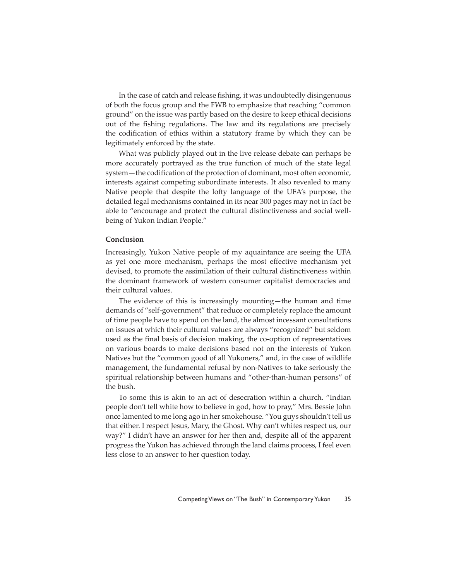In the case of catch and release fishing, it was undoubtedly disingenuous of both the focus group and the FWB to emphasize that reaching "common ground" on the issue was partly based on the desire to keep ethical decisions out of the fishing regulations. The law and its regulations are precisely the codification of ethics within a statutory frame by which they can be legitimately enforced by the state.

What was publicly played out in the live release debate can perhaps be more accurately portrayed as the true function of much of the state legal system - the codification of the protection of dominant, most often economic, interests against competing subordinate interests. It also revealed to many Native people that despite the lofty language of the UFA's purpose, the detailed legal mechanisms contained in its near 300 pages may not in fact be able to "encourage and protect the cultural distinctiveness and social wellbeing of Yukon Indian People."

#### **Conclusion**

Increasingly, Yukon Native people of my aquaintance are seeing the UFA as yet one more mechanism, perhaps the most effective mechanism yet devised, to promote the assimilation of their cultural distinctiveness within the dominant framework of western consumer capitalist democracies and their cultural values.

The evidence of this is increasingly mounting—the human and time demands of "self-government" that reduce or completely replace the amount of time people have to spend on the land, the almost incessant consultations on issues at which their cultural values are always "recognized" but seldom used as the final basis of decision making, the co-option of representatives on various boards to make decisions based not on the interests of Yukon Natives but the "common good of all Yukoners," and, in the case of wildlife management, the fundamental refusal by non-Natives to take seriously the spiritual relationship between humans and "other-than-human persons" of the bush.

To some this is akin to an act of desecration within a church. "Indian people don't tell white how to believe in god, how to pray," Mrs. Bessie John once lamented to me long ago in her smokehouse. "You guys shouldn't tell us that either. I respect Jesus, Mary, the Ghost. Why can't whites respect us, our way?" I didn't have an answer for her then and, despite all of the apparent progress the Yukon has achieved through the land claims process, I feel even less close to an answer to her question today.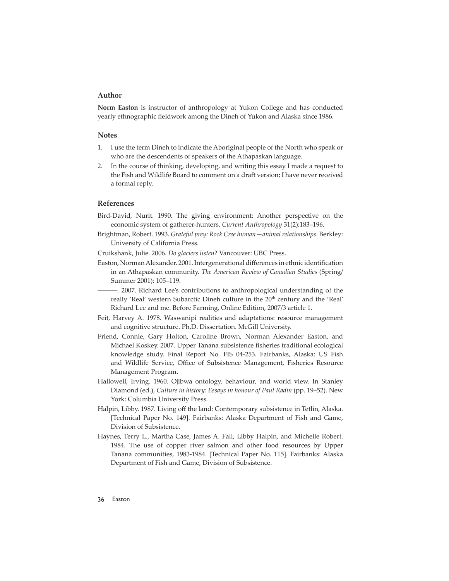#### **Author**

**Norm Easton** is instructor of anthropology at Yukon College and has conducted yearly ethnographic fieldwork among the Dineh of Yukon and Alaska since 1986.

#### **Notes**

- 1. I use the term Dineh to indicate the Aboriginal people of the North who speak or who are the descendents of speakers of the Athapaskan language.
- 2. In the course of thinking, developing, and writing this essay I made a request to the Fish and Wildlife Board to comment on a draft version; I have never received a formal reply.

#### **References**

- Bird-David, Nurit. 1990. The giving environment: Another perspective on the economic system of gatherer-hunters. *Current Anthropology* 31(2):183–196.
- Brightman, Robert. 1993. *Grateful prey: Rock Cree human—animal relationships*. Berkley: University of California Press.

Cruikshank, Julie. 2006. *Do glaciers listen*? Vancouver: UBC Press.

Easton, Norman Alexander. 2001. Intergenerational differences in ethnic identification in an Athapaskan community. *The American Review of Canadian Studies* (Spring/ Summer 2001): 105–119.

———. 2007. Richard Lee's contributions to anthropological understanding of the really 'Real' western Subarctic Dineh culture in the 20<sup>th</sup> century and the 'Real' Richard Lee and me. Before Farming, Online Edition, 2007/3 article 1.

- Feit, Harvey A. 1978. Waswanipi realities and adaptations: resource management and cognitive structure. Ph.D. Dissertation. McGill University.
- Friend, Connie, Gary Holton, Caroline Brown, Norman Alexander Easton, and Michael Koskey. 2007. Upper Tanana subsistence fisheries traditional ecological knowledge study. Final Report No. FIS 04-253. Fairbanks, Alaska: US Fish and Wildlife Service, Office of Subsistence Management, Fisheries Resource Management Program.
- Hallowell, Irving. 1960. Ojibwa ontology, behaviour, and world view. In Stanley Diamond (ed.), *Culture in history: Essays in honour of Paul Radin* (pp. 19–52). New York: Columbia University Press.
- Halpin, Libby. 1987. Living off the land: Contemporary subsistence in Tetlin, Alaska. [Technical Paper No. 149]. Fairbanks: Alaska Department of Fish and Game, Division of Subsistence.
- Haynes, Terry L., Martha Case, James A. Fall, Libby Halpin, and Michelle Robert. 1984. The use of copper river salmon and other food resources by Upper Tanana communities, 1983-1984. [Technical Paper No. 115]. Fairbanks: Alaska Department of Fish and Game, Division of Subsistence.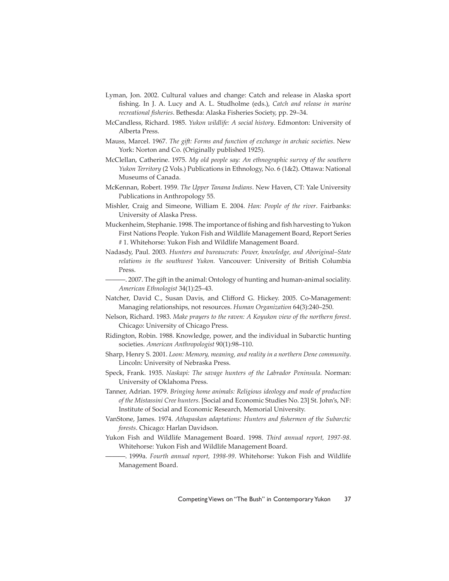- Lyman, Jon. 2002. Cultural values and change: Catch and release in Alaska sport fishing. In J. A. Lucy and A. L. Studholme (eds.), *Catch and release in marine recreational fi sheries*. Bethesda: Alaska Fisheries Society, pp. 29–34.
- McCandless, Richard. 1985. *Yukon wildlife: A social history*. Edmonton: University of Alberta Press.
- Mauss, Marcel. 1967. *The gift : Forms and function of exchange in archaic societies*. New York: Norton and Co. (Originally published 1925).
- McClellan, Catherine. 1975. *My old people say: An ethnographic survey of the southern Yukon Territory* (2 Vols.) Publications in Ethnology, No. 6 (1&2). Ottawa: National Museums of Canada.
- McKennan, Robert. 1959. *The Upper Tanana Indians*. New Haven, CT: Yale University Publications in Anthropology 55.
- Mishler, Craig and Simeone, William E. 2004. *Han: People of the river*. Fairbanks: University of Alaska Press.
- Muckenheim, Stephanie. 1998. The importance of fishing and fish harvesting to Yukon First Nations People. Yukon Fish and Wildlife Management Board, Report Series # 1. Whitehorse: Yukon Fish and Wildlife Management Board.
- Nadasdy, Paul. 2003. *Hunters and bureaucrats: Power, knowledge, and Aboriginal–State relations in the southwest Yukon.* Vancouver: University of British Columbia Press.
- $-$ . 2007. The gift in the animal: Ontology of hunting and human-animal sociality. *American Ethnologist* 34(1):25–43.
- Natcher, David C., Susan Davis, and Clifford G. Hickey. 2005. Co-Management: Managing relationships, not resources. *Human Organization* 64(3):240–250.
- Nelson, Richard. 1983. *Make prayers to the raven: A Koyukon view of the northern forest*. Chicago: University of Chicago Press.
- Ridington, Robin. 1988. Knowledge, power, and the individual in Subarctic hunting societies. *American Anthropologist* 90(1):98–110.
- Sharp, Henry S. 2001. *Loon: Memory, meaning, and reality in a northern Dene community*. Lincoln: University of Nebraska Press.
- Speck, Frank. 1935. *Naskapi: The savage hunters of the Labrador Peninsula*. Norman: University of Oklahoma Press.
- Tanner, Adrian. 1979. *Bringing home animals: Religious ideology and mode of production of the Mistassini Cree hunters*. [Social and Economic Studies No. 23] St. John's, NF: Institute of Social and Economic Research, Memorial University.
- VanStone, James. 1974. *Athapaskan adaptations: Hunters and fi shermen of the Subarctic forests*. Chicago: Harlan Davidson.
- Yukon Fish and Wildlife Management Board. 1998. *Third annual report, 1997-98*. Whitehorse: Yukon Fish and Wildlife Management Board.
	- ———. 1999a. *Fourth annual report, 1998-99*. Whitehorse: Yukon Fish and Wildlife Management Board.